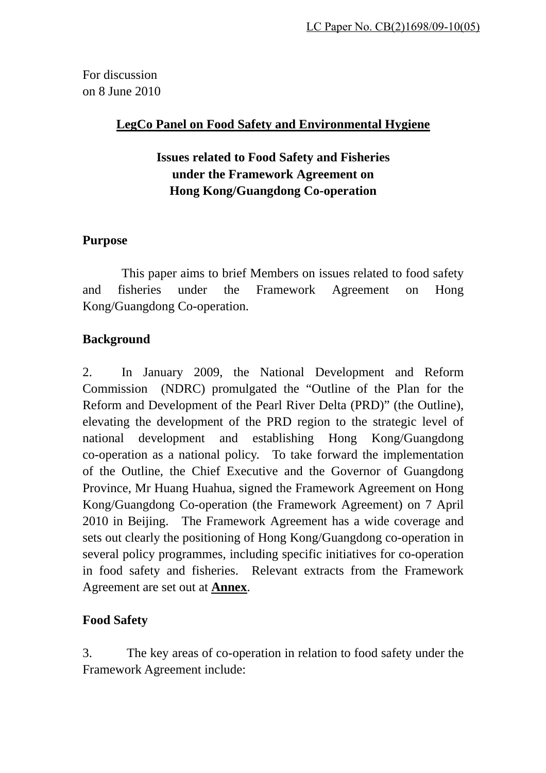For discussion on 8 June 2010

# **LegCo Panel on Food Safety and Environmental Hygiene**

# **Issues related to Food Safety and Fisheries under the Framework Agreement on Hong Kong/Guangdong Co-operation**

# **Purpose**

This paper aims to brief Members on issues related to food safety and fisheries under the Framework Agreement on Hong Kong/Guangdong Co-operation.

# **Background**

2. In January 2009, the National Development and Reform Commission (NDRC) promulgated the "Outline of the Plan for the Reform and Development of the Pearl River Delta (PRD)" (the Outline), elevating the development of the PRD region to the strategic level of national development and establishing Hong Kong/Guangdong co-operation as a national policy. To take forward the implementation of the Outline, the Chief Executive and the Governor of Guangdong Province, Mr Huang Huahua, signed the Framework Agreement on Hong Kong/Guangdong Co-operation (the Framework Agreement) on 7 April 2010 in Beijing. The Framework Agreement has a wide coverage and sets out clearly the positioning of Hong Kong/Guangdong co-operation in several policy programmes, including specific initiatives for co-operation in food safety and fisheries. Relevant extracts from the Framework Agreement are set out at **Annex**.

# **Food Safety**

3. The key areas of co-operation in relation to food safety under the Framework Agreement include: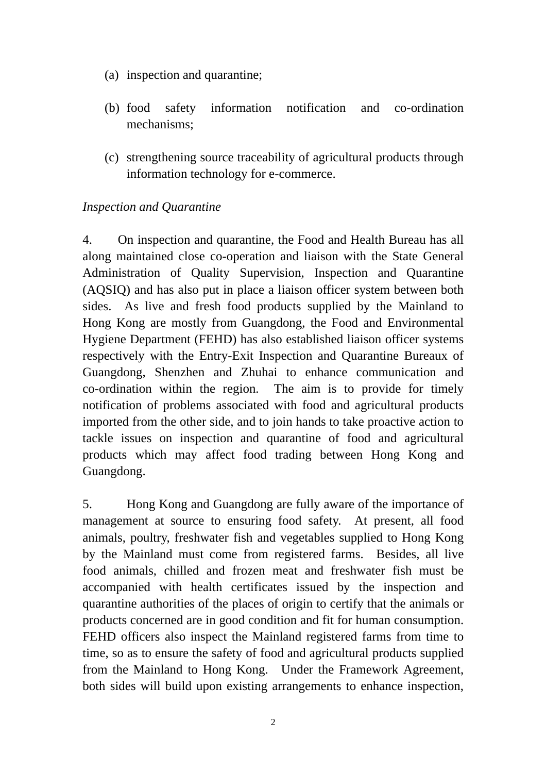- (a) inspection and quarantine;
- (b) food safety information notification and co-ordination mechanisms;
- (c) strengthening source traceability of agricultural products through information technology for e-commerce.

### *Inspection and Quarantine*

4. On inspection and quarantine, the Food and Health Bureau has all along maintained close co-operation and liaison with the State General Administration of Quality Supervision, Inspection and Quarantine (AQSIQ) and has also put in place a liaison officer system between both sides. As live and fresh food products supplied by the Mainland to Hong Kong are mostly from Guangdong, the Food and Environmental Hygiene Department (FEHD) has also established liaison officer systems respectively with the Entry-Exit Inspection and Quarantine Bureaux of Guangdong, Shenzhen and Zhuhai to enhance communication and co-ordination within the region. The aim is to provide for timely notification of problems associated with food and agricultural products imported from the other side, and to join hands to take proactive action to tackle issues on inspection and quarantine of food and agricultural products which may affect food trading between Hong Kong and Guangdong.

5. Hong Kong and Guangdong are fully aware of the importance of management at source to ensuring food safety. At present, all food animals, poultry, freshwater fish and vegetables supplied to Hong Kong by the Mainland must come from registered farms. Besides, all live food animals, chilled and frozen meat and freshwater fish must be accompanied with health certificates issued by the inspection and quarantine authorities of the places of origin to certify that the animals or products concerned are in good condition and fit for human consumption. FEHD officers also inspect the Mainland registered farms from time to time, so as to ensure the safety of food and agricultural products supplied from the Mainland to Hong Kong. Under the Framework Agreement, both sides will build upon existing arrangements to enhance inspection,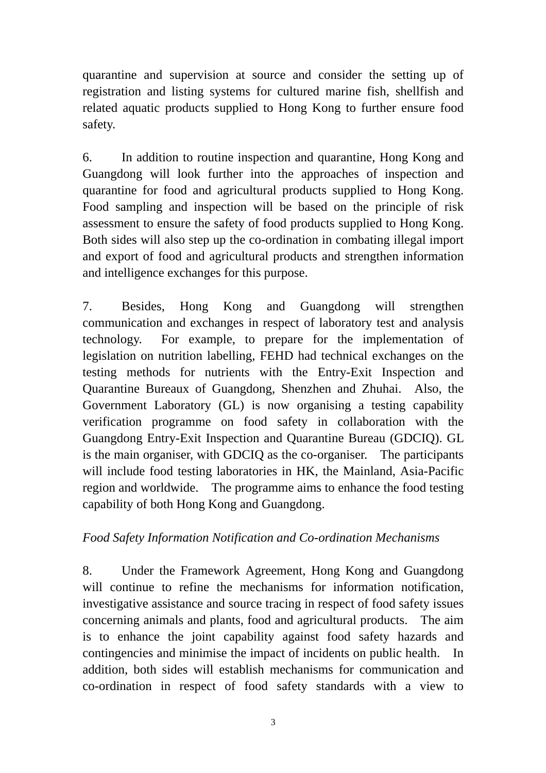quarantine and supervision at source and consider the setting up of registration and listing systems for cultured marine fish, shellfish and related aquatic products supplied to Hong Kong to further ensure food safety.

6. In addition to routine inspection and quarantine, Hong Kong and Guangdong will look further into the approaches of inspection and quarantine for food and agricultural products supplied to Hong Kong. Food sampling and inspection will be based on the principle of risk assessment to ensure the safety of food products supplied to Hong Kong. Both sides will also step up the co-ordination in combating illegal import and export of food and agricultural products and strengthen information and intelligence exchanges for this purpose.

7. Besides, Hong Kong and Guangdong will strengthen communication and exchanges in respect of laboratory test and analysis technology. For example, to prepare for the implementation of legislation on nutrition labelling, FEHD had technical exchanges on the testing methods for nutrients with the Entry-Exit Inspection and Quarantine Bureaux of Guangdong, Shenzhen and Zhuhai. Also, the Government Laboratory (GL) is now organising a testing capability verification programme on food safety in collaboration with the Guangdong Entry-Exit Inspection and Quarantine Bureau (GDCIQ). GL is the main organiser, with GDCIQ as the co-organiser. The participants will include food testing laboratories in HK, the Mainland, Asia-Pacific region and worldwide. The programme aims to enhance the food testing capability of both Hong Kong and Guangdong.

# *Food Safety Information Notification and Co-ordination Mechanisms*

8. Under the Framework Agreement, Hong Kong and Guangdong will continue to refine the mechanisms for information notification, investigative assistance and source tracing in respect of food safety issues concerning animals and plants, food and agricultural products. The aim is to enhance the joint capability against food safety hazards and contingencies and minimise the impact of incidents on public health. In addition, both sides will establish mechanisms for communication and co-ordination in respect of food safety standards with a view to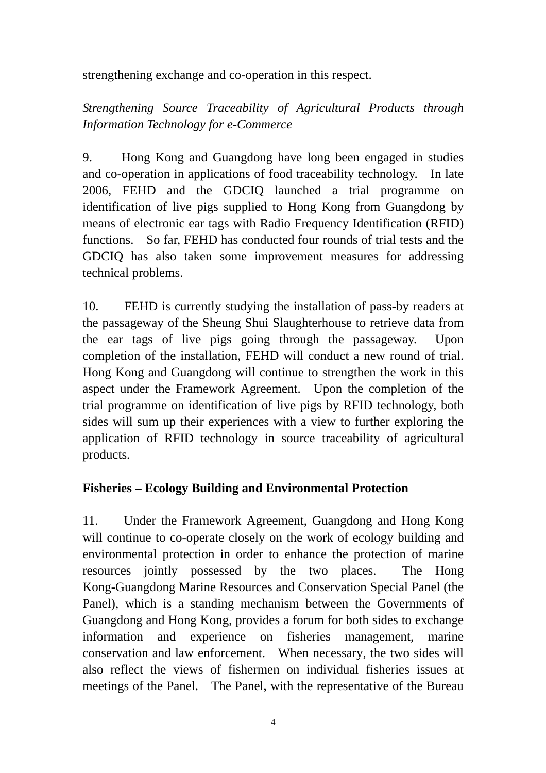strengthening exchange and co-operation in this respect.

*Strengthening Source Traceability of Agricultural Products through Information Technology for e-Commerce* 

9. Hong Kong and Guangdong have long been engaged in studies and co-operation in applications of food traceability technology. In late 2006, FEHD and the GDCIQ launched a trial programme on identification of live pigs supplied to Hong Kong from Guangdong by means of electronic ear tags with Radio Frequency Identification (RFID) functions. So far, FEHD has conducted four rounds of trial tests and the GDCIQ has also taken some improvement measures for addressing technical problems.

10. FEHD is currently studying the installation of pass-by readers at the passageway of the Sheung Shui Slaughterhouse to retrieve data from the ear tags of live pigs going through the passageway. Upon completion of the installation, FEHD will conduct a new round of trial. Hong Kong and Guangdong will continue to strengthen the work in this aspect under the Framework Agreement. Upon the completion of the trial programme on identification of live pigs by RFID technology, both sides will sum up their experiences with a view to further exploring the application of RFID technology in source traceability of agricultural products.

# **Fisheries – Ecology Building and Environmental Protection**

11. Under the Framework Agreement, Guangdong and Hong Kong will continue to co-operate closely on the work of ecology building and environmental protection in order to enhance the protection of marine resources jointly possessed by the two places. The Hong Kong-Guangdong Marine Resources and Conservation Special Panel (the Panel), which is a standing mechanism between the Governments of Guangdong and Hong Kong, provides a forum for both sides to exchange information and experience on fisheries management, marine conservation and law enforcement. When necessary, the two sides will also reflect the views of fishermen on individual fisheries issues at meetings of the Panel. The Panel, with the representative of the Bureau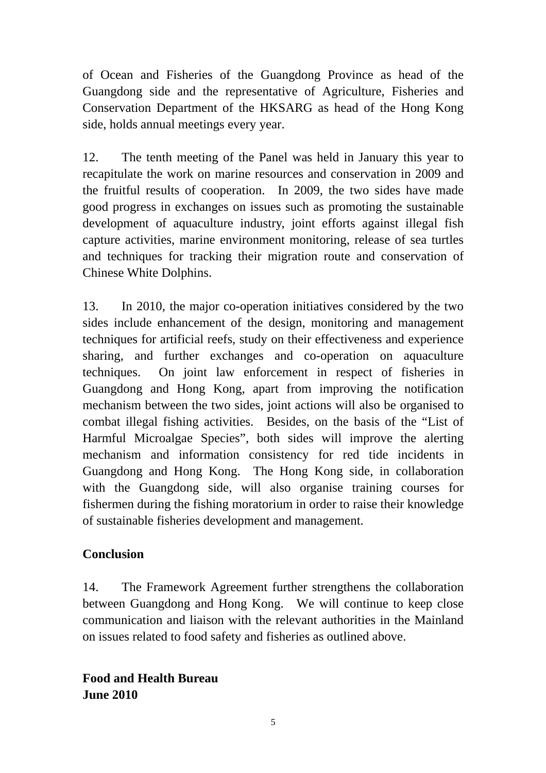of Ocean and Fisheries of the Guangdong Province as head of the Guangdong side and the representative of Agriculture, Fisheries and Conservation Department of the HKSARG as head of the Hong Kong side, holds annual meetings every year.

12. The tenth meeting of the Panel was held in January this year to recapitulate the work on marine resources and conservation in 2009 and the fruitful results of cooperation. In 2009, the two sides have made good progress in exchanges on issues such as promoting the sustainable development of aquaculture industry, joint efforts against illegal fish capture activities, marine environment monitoring, release of sea turtles and techniques for tracking their migration route and conservation of Chinese White Dolphins.

13. In 2010, the major co-operation initiatives considered by the two sides include enhancement of the design, monitoring and management techniques for artificial reefs, study on their effectiveness and experience sharing, and further exchanges and co-operation on aquaculture techniques. On joint law enforcement in respect of fisheries in Guangdong and Hong Kong, apart from improving the notification mechanism between the two sides, joint actions will also be organised to combat illegal fishing activities. Besides, on the basis of the "List of Harmful Microalgae Species", both sides will improve the alerting mechanism and information consistency for red tide incidents in Guangdong and Hong Kong. The Hong Kong side, in collaboration with the Guangdong side, will also organise training courses for fishermen during the fishing moratorium in order to raise their knowledge of sustainable fisheries development and management.

# **Conclusion**

14. The Framework Agreement further strengthens the collaboration between Guangdong and Hong Kong. We will continue to keep close communication and liaison with the relevant authorities in the Mainland on issues related to food safety and fisheries as outlined above.

**Food and Health Bureau June 2010**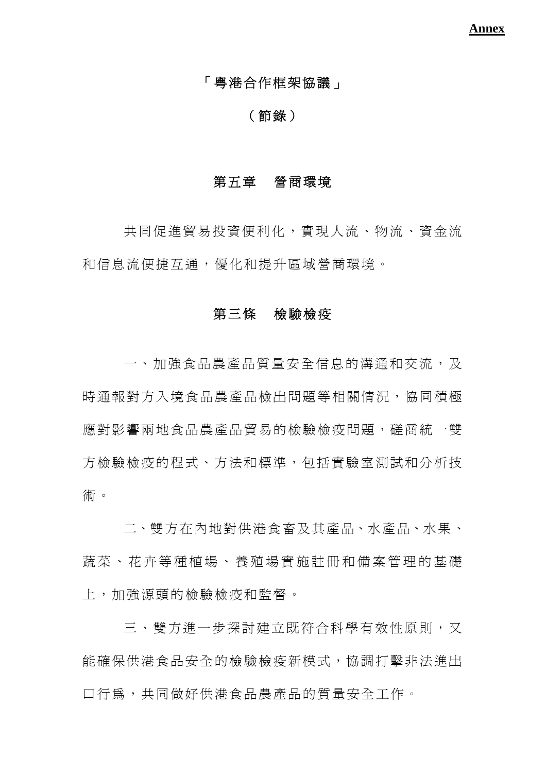### 「粵港合作框架協議」

#### (節錄)

#### 第五章營商環境

共同促進貿易投資便利化,實現人流、物流、資金流 和信息流便捷互通,優化和提升區域營商環境。

#### 第三條檢驗檢疫

一、加強食品農產品質量安全信息的溝通和交流,及 時通報對方入境食品農產品檢出問題等相關情況,協同積極 應對影響兩地食品農產品留易的檢驗檢疫問題,磋商統一雙 方檢驗檢疫的程式、方法和標準,包括實驗室測試和分析技 術。

二、雙方在內地對供港食畜及其產品、水產品、水果、 蔬菜、花卉等種植場、養殖場實施註冊和備案管理的基礎 上,加強源頭的檢驗檢疫和監督。

三、雙方淮一步探討建立既符合科學有效性原則,又 能確保供港食品安全的檢驗檢疫新模式,協調打擊非法淮出 口行為,共同做好供港食品農產品的質量安全工作。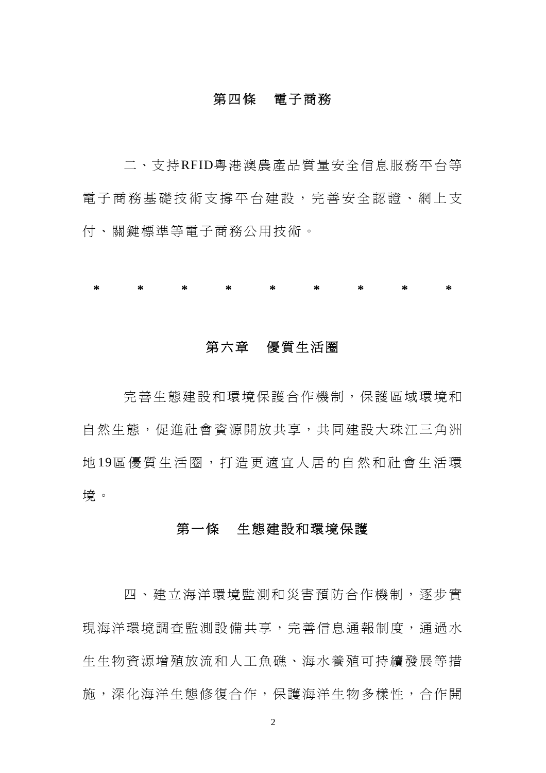#### 第四條電子商務

二、支持RFID粵港澳農產品質量安全信息服務平台等 電子商務基礎技術支撐平台建設,完善安全認證、網上支 付、關鍵標準等電子商務公用技術。

**\* \* \* \* \* \* \* \* \*** 

### 第六章優質生活圈

完善生態建設和環境保護合作機制,保護區域環境和 自然生態,促進社會資源開放共享,共同建設大珠江三角洲 地 19區優質生活圈,打造 更 適宜人居的自然和社會生活環 境。

#### 第一條生態建設和環境保護

四、建立海洋環境監測和災害預防合作機制,逐步實 現海洋環境調査監測設備共享,完善信息通報制度,通過水 生生物資源增殖放流和人工魚礁、海水養殖可持續發展等措 施,深化海洋生態修復合作,保護海洋生物多樣性,合作開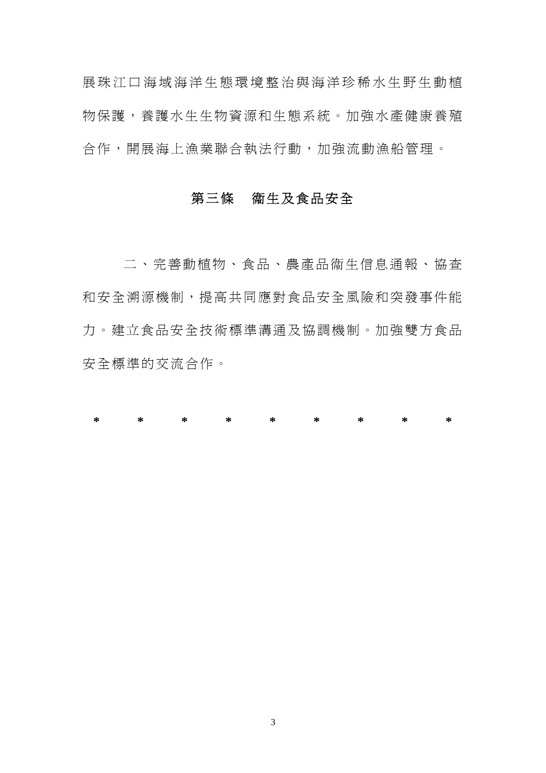展珠江口海域海洋生態環境整治與海洋珍稀水生野生動植 物保護,養護水生生物資源和生態系統。加強水產健康養殖 合作,開展海上漁業聯合執法行動,加強流動漁船管理。

### 第三條衞生及食品安全

二、完善動植物、食品、農產品衞生信息通報、協查 和安全溯源機制,提高共同應對食品安全風險和突發事件能 力。建立食品安全技術標準溝通及協調機制。加強雙方食品 安全標準的交流合作。

**\* \* \* \* \* \* \* \* \***